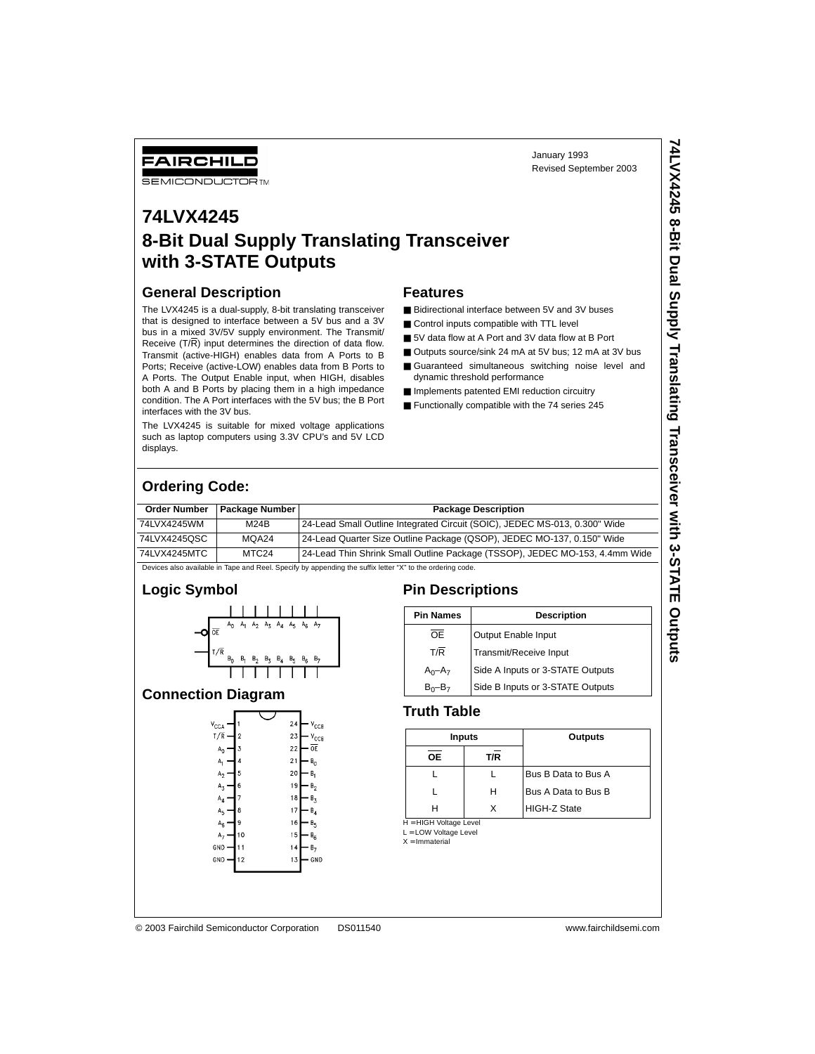January 1993 Revised September 2003

## FAIRCHILD **SEMICONDUCTOR TM**

## **74LVX4245 8-Bit Dual Supply Translating Transceiver with 3-STATE Outputs**

## **General Description**

The LVX4245 is a dual-supply, 8-bit translating transceiver that is designed to interface between a 5V bus and a 3V bus in a mixed 3V/5V supply environment. The Transmit/ Receive (T/R) input determines the direction of data flow. Transmit (active-HIGH) enables data from A Ports to B Ports; Receive (active-LOW) enables data from B Ports to A Ports. The Output Enable input, when HIGH, disables both A and B Ports by placing them in a high impedance condition. The A Port interfaces with the 5V bus; the B Port interfaces with the 3V bus.

The LVX4245 is suitable for mixed voltage applications such as laptop computers using 3.3V CPU's and 5V LCD displays.

### **Features**

- Bidirectional interface between 5V and 3V buses
- Control inputs compatible with TTL level
- 5V data flow at A Port and 3V data flow at B Port
- Outputs source/sink 24 mA at 5V bus; 12 mA at 3V bus
- Guaranteed simultaneous switching noise level and dynamic threshold performance
- Implements patented EMI reduction circuitry
- Functionally compatible with the 74 series 245

## **Ordering Code:**

| <b>Order Number</b> | Package Number                                                                                            | <b>Package Description</b>                                                  |  |  |  |  |  |
|---------------------|-----------------------------------------------------------------------------------------------------------|-----------------------------------------------------------------------------|--|--|--|--|--|
| 74LVX4245WM         | M24B                                                                                                      | 24-Lead Small Outline Integrated Circuit (SOIC), JEDEC MS-013, 0.300" Wide  |  |  |  |  |  |
| 74LVX4245QSC        | MQA24                                                                                                     | 24-Lead Quarter Size Outline Package (QSOP), JEDEC MO-137, 0.150" Wide      |  |  |  |  |  |
| 74LVX4245MTC        | MTC <sub>24</sub>                                                                                         | 24-Lead Thin Shrink Small Outline Package (TSSOP), JEDEC MO-153, 4.4mm Wide |  |  |  |  |  |
|                     | Devices also available in Tape and Reel. Specify by appending the suffix letter "X" to the ordering code. |                                                                             |  |  |  |  |  |

## **Logic Symbol**



### **Connection Diagram**



## **Pin Descriptions**

| <b>Pin Names</b> | <b>Description</b>               |
|------------------|----------------------------------|
| OF               | Output Enable Input              |
| T/R              | Transmit/Receive Input           |
| $A_0 - A_7$      | Side A Inputs or 3-STATE Outputs |
| $B_0 - B_7$      | Side B Inputs or 3-STATE Outputs |

## **Truth Table**

| Inputs                   |     | Outputs             |
|--------------------------|-----|---------------------|
| <b>OE</b>                | T/R |                     |
|                          |     | Bus B Data to Bus A |
|                          | н   | Bus A Data to Bus B |
| н                        | x   | HIGH-Z State        |
| $H = HICH$ Voltage Level |     |                     |

H = HIGH Voltage Level<br>L = LOW Voltage Level

 $X = ImmateriaI$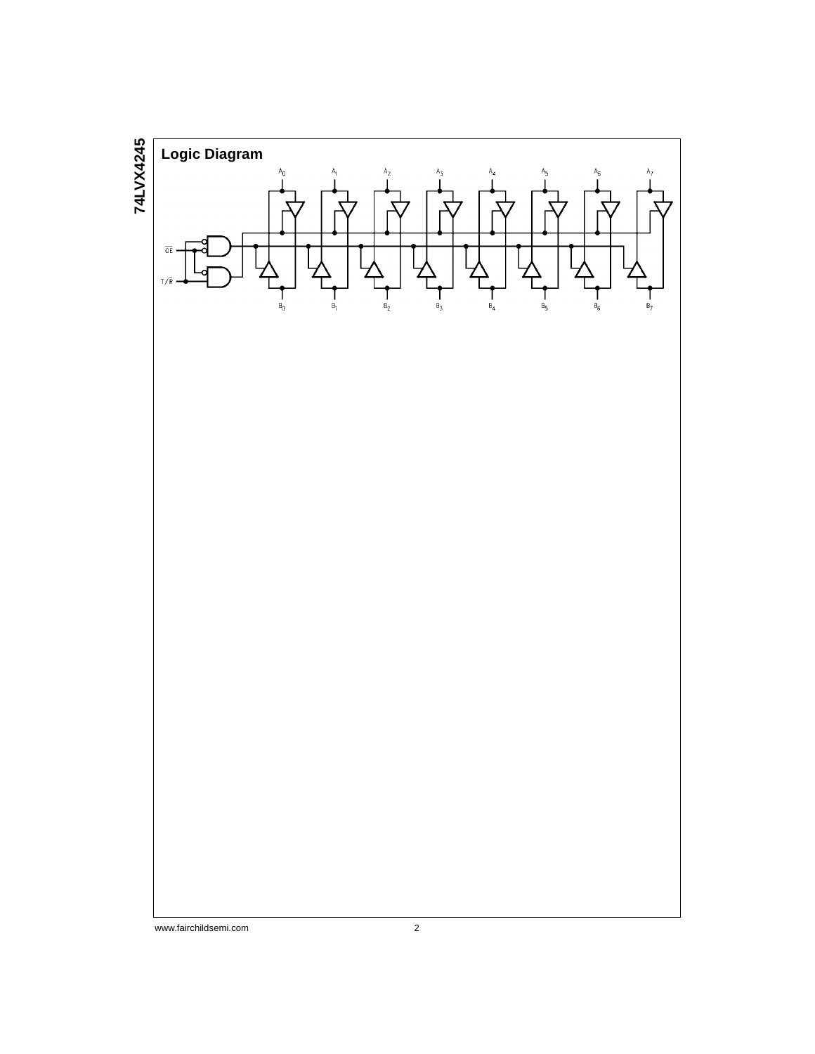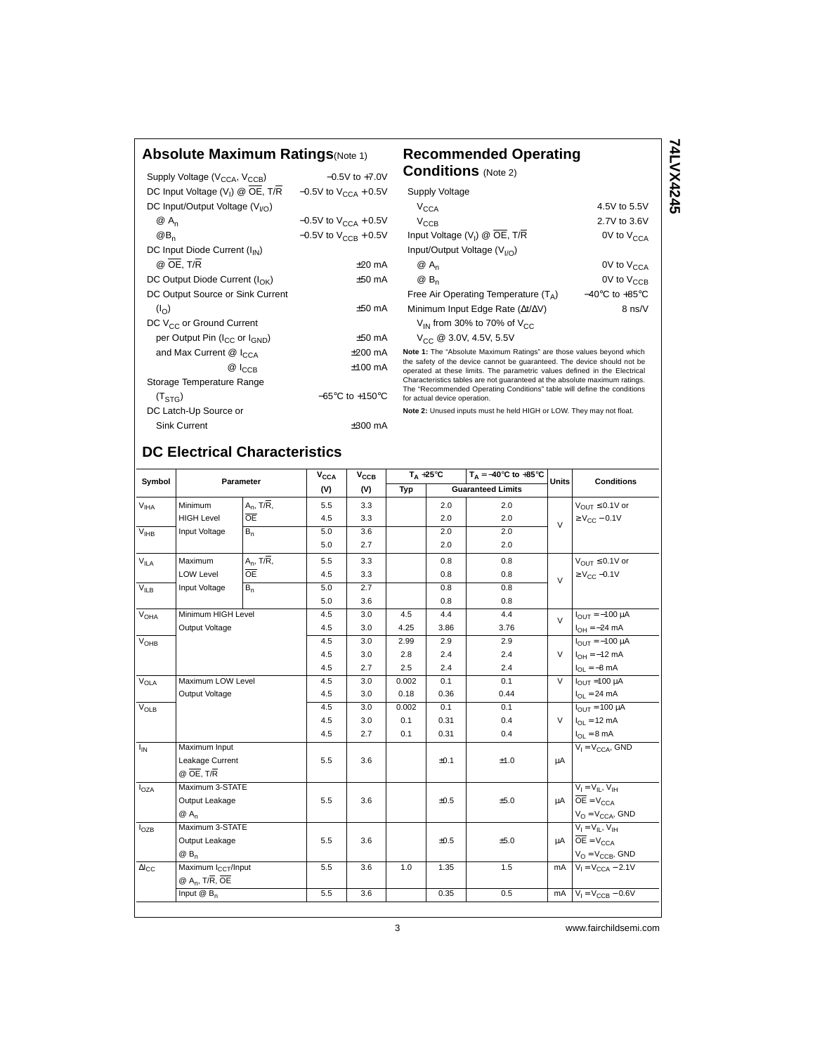## **Absolute Maximum Ratings**(Note 1) **Recommended Operating**

| Supply Voltage (V <sub>CCA</sub> , V <sub>CCB</sub> ) | $-0.5V$ to $+7.0V$                  |
|-------------------------------------------------------|-------------------------------------|
| DC Input Voltage $(V_1)$ @ $\overline{OE}$ , T/R      | $-0.5V$ to $V_{CCA}$ + 0.5V         |
| DC Input/Output Voltage (V <sub>I/O</sub> )           |                                     |
| @ A <sub>n</sub>                                      | $-0.5V$ to $V_{CCA} + 0.5V$         |
| $@B_n$                                                | $-0.5V$ to $V_{CCR}$ + 0.5V         |
| DC Input Diode Current (I <sub>IN</sub> )             |                                     |
| @ OE, T/R                                             | $+20 \text{ mA}$                    |
| DC Output Diode Current ( $I_{\cap K}$ )              | $+50$ mA                            |
| DC Output Source or Sink Current                      |                                     |
| $(I_{\Omega})$                                        | $+50$ mA                            |
| DC V <sub>CC</sub> or Ground Current                  |                                     |
| per Output Pin (I <sub>CC</sub> or I <sub>GND</sub> ) | $+50$ mA                            |
| and Max Current @ I <sub>CCA</sub>                    | $+200$ mA                           |
| $@ _{CCR}$                                            | $+100 \text{ mA}$                   |
| Storage Temperature Range                             |                                     |
| (T <sub>STG</sub> )                                   | $-65^{\circ}$ C to $+150^{\circ}$ C |
| DC Latch-Up Source or                                 |                                     |
| Sink Current                                          | +300 mA                             |

## **Conditions** (Note 2) Supply Voltage  $V_{\text{CCA}}$  4.5V to 5.5V

**74LVX4245**

74LVX4245

| $V_{\text{CCB}}$                                                     | 2.7V to 3.6V                       |
|----------------------------------------------------------------------|------------------------------------|
| Input Voltage $(V_I)$ @ $\overline{OE}$ , T/R                        | 0V to $V_{CCA}$                    |
| Input/Output Voltage $(V_{1/2})$                                     |                                    |
| $@A_n$                                                               | 0V to V <sub>CCA</sub>             |
| @ B <sub>n</sub>                                                     | $0V$ to $V_{CCR}$                  |
| Free Air Operating Temperature $(T_A)$                               | $-40^{\circ}$ C to $+85^{\circ}$ C |
| Minimum Input Edge Rate $(\Delta t/\Delta V)$                        | 8 ns/V                             |
| $V_{IN}$ from 30% to 70% of $V_{CC}$                                 |                                    |
| $V_{CC}$ @ 3.0V, 4.5V, 5.5V                                          |                                    |
| Note 1: The "Absolute Maximum Petings" are these values beyond which |                                    |

**Note 1:** The "Absolute Maximum Ratings" are those values beyond which the safety of the device cannot be guaranteed. The device should not be operated at these limits. The parametric values defined in the Electrical Characteristics tables are not guaranteed at the absolute maximum ratings. The "Recommended Operating Conditions" table will define the conditions for actual device operation.

**Note 2:** Unused inputs must he held HIGH or LOW. They may not float.

## **DC Electrical Characteristics**

| Symbol                      | Parameter                       |                 | $V_{\text{CCA}}$ | $T_A + 25^\circ C$<br>V <sub>CCB</sub> |       |      | $T_A = -40^\circ \text{C}$ to $+85^\circ \text{C}$ |                | <b>Conditions</b>                 |
|-----------------------------|---------------------------------|-----------------|------------------|----------------------------------------|-------|------|----------------------------------------------------|----------------|-----------------------------------|
|                             |                                 |                 | (V)              | (V)                                    | Typ   |      | <b>Guaranteed Limits</b>                           | <b>Units</b>   |                                   |
| $\mathsf{V}_{\mathsf{IHA}}$ | Minimum                         | $A_n$ , T/R,    | 5.5              | 3.3                                    |       | 2.0  | 2.0                                                |                | $V_{\text{OUT}} \leq 0.1V$ or     |
|                             | <b>HIGH Level</b>               | $\overline{OE}$ | 4.5              | 3.3                                    |       | 2.0  | 2.0                                                | $\mathcal{U}$  | $\geq$ V <sub>CC</sub> - 0.1V     |
| $V_{IHB}$                   | Input Voltage                   | $B_n$           | 5.0              | 3.6                                    |       | 2.0  | 2.0                                                |                |                                   |
|                             |                                 |                 | 5.0              | 2.7                                    |       | 2.0  | 2.0                                                |                |                                   |
| $V_{ILA}$                   | Maximum                         | $A_n$ , T/R,    | 5.5              | 3.3                                    |       | 0.8  | 0.8                                                |                | $V_{\text{OUT}} \leq 0.1V$ or     |
|                             | <b>LOW Level</b>                | <b>OE</b>       | 4.5              | 3.3                                    |       | 0.8  | 0.8                                                | $\vee$         | $\geq$ V <sub>CC</sub> -0.1V      |
| $V_{ILB}$                   | Input Voltage                   | $B_n$           | 5.0              | 2.7                                    |       | 0.8  | 0.8                                                |                |                                   |
|                             |                                 |                 | 5.0              | 3.6                                    |       | 0.8  | 0.8                                                |                |                                   |
| <b>V<sub>OHA</sub></b>      | Minimum HIGH Level              |                 | 4.5              | 3.0                                    | 4.5   | 4.4  | 4.4                                                | $\sqrt{ }$     | $I_{OUT} = -100 \mu A$            |
|                             | Output Voltage                  |                 | 4.5              | 3.0                                    | 4.25  | 3.86 | 3.76                                               |                | $I_{OH} = -24 \text{ mA}$         |
| $V_{OHB}$                   |                                 |                 | 4.5              | 3.0                                    | 2.99  | 2.9  | 2.9                                                |                | $I_{OIII} = -100 \mu A$           |
|                             |                                 |                 | 4.5              | 3.0                                    | 2.8   | 2.4  | 2.4                                                | $\vee$         | $I_{OH} = -12$ mA                 |
|                             |                                 |                 | 4.5              | 2.7                                    | 2.5   | 2.4  | 2.4                                                |                | $I_{OL} = -8$ mA                  |
| $V_{OLA}$                   | Maximum LOW Level               |                 | 4.5              | 3.0                                    | 0.002 | 0.1  | 0.1                                                | $\overline{V}$ | $I_{\text{OUT}}$ = 100 µA         |
|                             | Output Voltage                  |                 | 4.5              | 3.0                                    | 0.18  | 0.36 | 0.44                                               |                | $I_{OL}$ = 24 mA                  |
| $V_{OLB}$                   |                                 |                 | 4.5              | 3.0                                    | 0.002 | 0.1  | 0.1                                                |                | $I_{\text{OUT}}$ = 100 µA         |
|                             |                                 |                 | 4.5              | 3.0                                    | 0.1   | 0.31 | 0.4                                                | $\vee$         | $I_{OL}$ = 12 mA                  |
|                             |                                 |                 | 4.5              | 2.7                                    | 0.1   | 0.31 | 0.4                                                |                | $I_{OL} = 8 \text{ mA}$           |
| $I_{IN}$                    | Maximum Input                   |                 |                  |                                        |       |      |                                                    |                | $V_I = V_{CCA}$ , GND             |
|                             | Leakage Current                 |                 | 5.5              | 3.6                                    |       | ±0.1 | ±1.0                                               | μA             |                                   |
|                             | $@$ OE, T/R                     |                 |                  |                                        |       |      |                                                    |                |                                   |
| $I_{OZA}$                   | Maximum 3-STATE                 |                 |                  |                                        |       |      |                                                    |                | $V_1 = V_{II}$ , $V_{IH}$         |
|                             | Output Leakage                  |                 | 5.5              | 3.6                                    |       | ±0.5 | ±5.0                                               | uA             | $OE = V_{CCA}$                    |
|                             | $@A_n$                          |                 |                  |                                        |       |      |                                                    |                | $V_O = V_{CCA}$ , GND             |
| l <sub>OZB</sub>            | Maximum 3-STATE                 |                 |                  |                                        |       |      |                                                    |                | $V_l = V_{lL}$ , $V_{lH}$         |
|                             | Output Leakage                  |                 | 5.5              | 3.6                                    |       | ±0.5 | ±5.0                                               |                | $\mu A$ $\overline{OE} = V_{CCA}$ |
|                             | $@B_n$                          |                 |                  |                                        |       |      |                                                    |                | $V_O = V_{CCB}$ , GND             |
| $\Delta I_{\rm CC}$         | Maximum I <sub>CCT</sub> /Input |                 | 5.5              | 3.6                                    | 1.0   | 1.35 | 1.5                                                | mA             | $V_1 = V_{CCA} - 2.1V$            |
|                             | $@A_n$ , T/R, OE                |                 |                  |                                        |       |      |                                                    |                |                                   |
|                             | Input $@$ $B_n$                 |                 | 5.5              | 3.6                                    |       | 0.35 | 0.5                                                | mA             | $V_1 = V_{CCB} - 0.6V$            |
|                             |                                 |                 |                  |                                        |       |      |                                                    |                |                                   |

3 www.fairchildsemi.com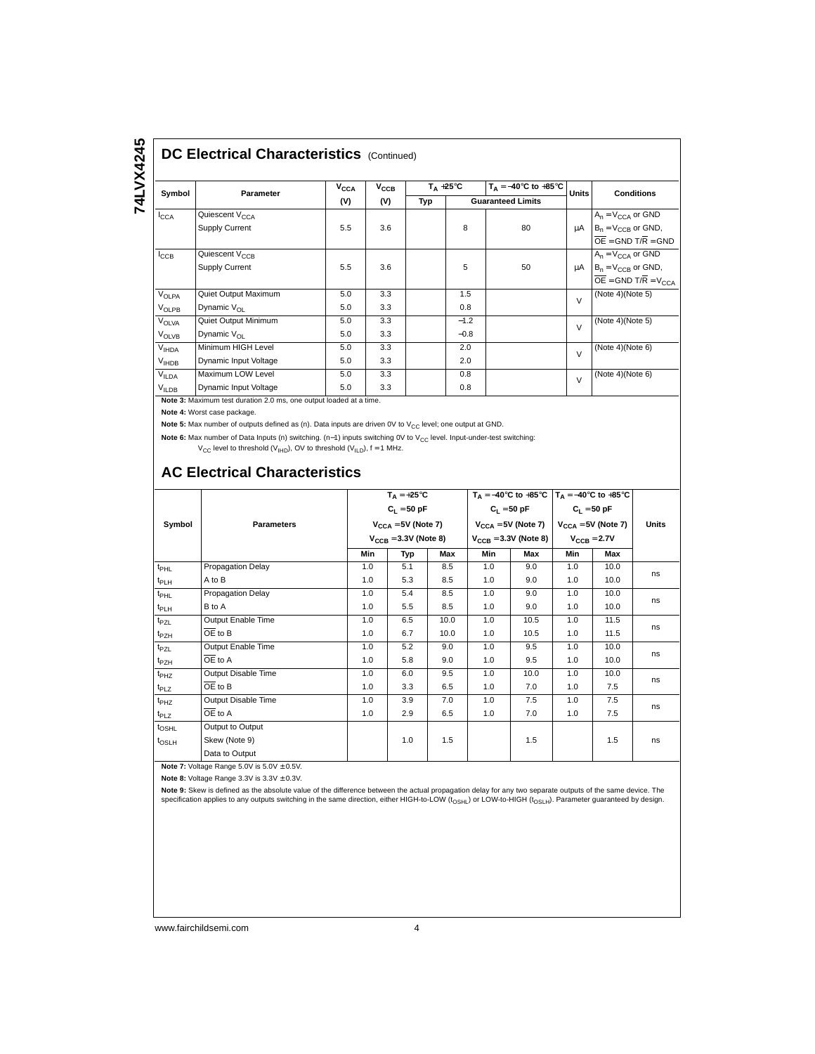# 74LVX4245 **74LVX4245**

## **DC Electrical Characteristics (Continued)**

| Symbol            | Parameter                  | V <sub>CCA</sub> | $\mathsf{v}_\mathtt{ccB}$ | $T_A + 25^{\circ}C$ |        | $T_A = -40^\circ \text{C}$ to $+85^\circ \text{C}$ | <b>Units</b> | <b>Conditions</b>                     |
|-------------------|----------------------------|------------------|---------------------------|---------------------|--------|----------------------------------------------------|--------------|---------------------------------------|
|                   |                            | (V)              | (V)                       | Typ                 |        | <b>Guaranteed Limits</b>                           |              |                                       |
| $I_{\text{CCA}}$  | Quiescent V <sub>CCA</sub> |                  |                           |                     |        |                                                    |              | $A_n = V_{CCA}$ or GND                |
|                   | <b>Supply Current</b>      | 5.5              | 3.6                       |                     | 8      | 80                                                 | μA           | $B_n = V_{CCR}$ or GND,               |
|                   |                            |                  |                           |                     |        |                                                    |              | $\overline{OE}$ = GND T/R = GND       |
| ICCB              | Quiescent V <sub>CCB</sub> |                  |                           |                     |        |                                                    |              | $A_n = V_{CCA}$ or GND                |
|                   | Supply Current             | 5.5              | 3.6                       |                     | 5      | 50                                                 | μA           | $B_n = V_{CCR}$ or GND,               |
|                   |                            |                  |                           |                     |        |                                                    |              | $\overline{OE}$ = GND T/R = $V_{CCA}$ |
| VOLPA             | Quiet Output Maximum       | 5.0              | 3.3                       |                     | 1.5    |                                                    | $\vee$       | (Note 4)(Note 5)                      |
| VOLPB             | Dynamic $V_{\Omega}$       | 5.0              | 3.3                       |                     | 0.8    |                                                    |              |                                       |
| <b>VOLVA</b>      | Quiet Output Minimum       | 5.0              | 3.3                       |                     | $-1.2$ |                                                    | $\vee$       | (Note $4$ )(Note $5$ )                |
| <b>VOLVB</b>      | Dynamic $V_{\Omega}$       | 5.0              | 3.3                       |                     | $-0.8$ |                                                    |              |                                       |
| V <sub>IHDA</sub> | Minimum HIGH Level         | 5.0              | 3.3                       |                     | 2.0    |                                                    | $\vee$       | (Note 4)(Note 6)                      |
| $V_{HDB}$         | Dynamic Input Voltage      | 5.0              | 3.3                       |                     | 2.0    |                                                    |              |                                       |
| <b>VILDA</b>      | Maximum LOW Level          | 5.0              | 3.3                       |                     | 0.8    |                                                    | $\vee$       | (Note 4)(Note 6)                      |
| V <sub>ILDB</sub> | Dynamic Input Voltage      | 5.0              | 3.3                       |                     | 0.8    |                                                    |              |                                       |

**Note 3:** Maximum test duration 2.0 ms, one output loaded at a time.

**Note 4:** Worst case package.

Note 5: Max number of outputs defined as (n). Data inputs are driven 0V to V<sub>CC</sub> level; one output at GND.

Note 6: Max number of Data Inputs (n) switching. (n-1) inputs switching 0V to V<sub>CC</sub> level. Input-under-test switching:

 $V_{CC}$  level to threshold (V<sub>IHD</sub>), OV to threshold (V<sub>ILD</sub>),  $f = 1$  MHz.

## **AC Electrical Characteristics**

|                   |                      | $T_A = +25^{\circ}C$<br>$C_1 = 50$ pF<br>$V_{CCA} = 5V$ (Note 7) |     |      | $T_A = -40^{\circ}C$ to $+85^{\circ}C$   $T_A = -40^{\circ}C$ to $+85^{\circ}C$ |                             |                                                 |      |       |
|-------------------|----------------------|------------------------------------------------------------------|-----|------|---------------------------------------------------------------------------------|-----------------------------|-------------------------------------------------|------|-------|
|                   |                      |                                                                  |     |      |                                                                                 | $C_L = 50 pF$ $C_L = 50 pF$ |                                                 |      |       |
| Symbol            | <b>Parameters</b>    |                                                                  |     |      |                                                                                 |                             | $V_{CCA} = 5V$ (Note 7) $V_{CCA} = 5V$ (Note 7) |      | Units |
|                   |                      | $V_{CCR}$ = 3.3V (Note 8)                                        |     |      | $V_{CCR}$ = 3.3V (Note 8)                                                       |                             | $V_{CCR}$ = 2.7V                                |      |       |
|                   |                      | Min                                                              | Typ | Max  | Min                                                                             | Max                         | Min                                             | Max  |       |
| $t_{\text{PHL}}$  | Propagation Delay    | 1.0                                                              | 5.1 | 8.5  | 1.0                                                                             | 9.0                         | 1.0                                             | 10.0 | ns    |
| $t_{PLH}$         | A to B               | 1.0                                                              | 5.3 | 8.5  | 1.0                                                                             | 9.0                         | 1.0                                             | 10.0 |       |
| $t_{\text{PHL}}$  | Propagation Delay    | 1.0                                                              | 5.4 | 8.5  | 1.0                                                                             | 9.0                         | 1.0                                             | 10.0 | ns    |
| t <sub>PLH</sub>  | B to A               | 1.0                                                              | 5.5 | 8.5  | 1.0                                                                             | 9.0                         | 1.0                                             | 10.0 |       |
| $t_{\sf PZL}$     | Output Enable Time   | 1.0                                                              | 6.5 | 10.0 | 1.0                                                                             | 10.5                        | 1.0                                             | 11.5 |       |
| t <sub>PZH</sub>  | $\overline{OE}$ to B | 1.0                                                              | 6.7 | 10.0 | 1.0                                                                             | 10.5                        | 1.0                                             | 11.5 | ns    |
| $t_{PZL}$         | Output Enable Time   | 1.0                                                              | 5.2 | 9.0  | 1.0                                                                             | 9.5                         | 1.0                                             | 10.0 | ns    |
| $t_{\sf PZH}$     | OE to A              | 1.0                                                              | 5.8 | 9.0  | 1.0                                                                             | 9.5                         | 1.0                                             | 10.0 |       |
| $t_{PHZ}$         | Output Disable Time  | 1.0                                                              | 6.0 | 9.5  | 1.0                                                                             | 10.0                        | 1.0                                             | 10.0 | ns    |
| t <sub>PLZ</sub>  | OE to B              | 1.0                                                              | 3.3 | 6.5  | 1.0                                                                             | 7.0                         | 1.0                                             | 7.5  |       |
| $t_{PHZ}$         | Output Disable Time  | 1.0                                                              | 3.9 | 7.0  | 1.0                                                                             | 7.5                         | 1.0                                             | 7.5  |       |
| $t_{PLZ}$         | OE to A              | 1.0                                                              | 2.9 | 6.5  | 1.0                                                                             | 7.0                         | 1.0                                             | 7.5  | ns    |
| t <sub>OSHL</sub> | Output to Output     |                                                                  |     |      |                                                                                 |                             |                                                 |      |       |
| t <sub>OSLH</sub> | Skew (Note 9)        |                                                                  | 1.0 | 1.5  |                                                                                 | 1.5                         |                                                 | 1.5  | ns    |
|                   | Data to Output       |                                                                  |     |      |                                                                                 |                             |                                                 |      |       |

**Note 7:** Voltage Range 5.0V is  $5.0V \pm 0.5V$ .

**Note 8: Voltage Range 3.3V is**  $3.3V \pm 0.3V$ **.** 

**Note 9:** Skew is defined as the absolute value of the difference between the actual propagation delay for any two separate outputs of the same device. The specification applies to any outputs switching in the same direction, either HIGH-to-LOW ( $t_{\rm OSH}$ ) or LOW-to-HIGH ( $t_{\rm OSH}$ ). Parameter guaranteed by design.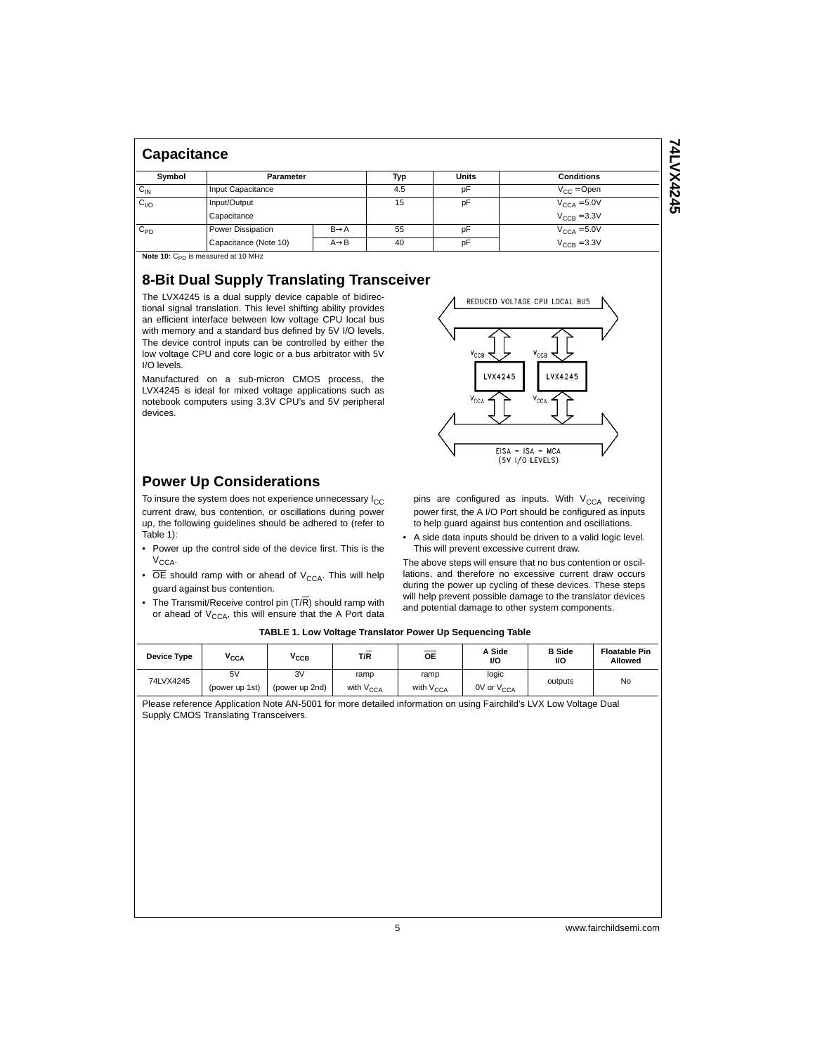| <b>Capacitance</b> |                       |                   |     |                 |                         |  |  |  |  |  |
|--------------------|-----------------------|-------------------|-----|-----------------|-------------------------|--|--|--|--|--|
| Symbol             | Parameter             |                   | Typ | <b>Units</b>    | <b>Conditions</b>       |  |  |  |  |  |
| $C_{IN}$           | Input Capacitance     | 4.5               | pF  | $V_{CC} =$ Open |                         |  |  |  |  |  |
| C <sub>I/O</sub>   | Input/Output          |                   | 15  | pF              | $V_{\text{CCA}} = 5.0V$ |  |  |  |  |  |
|                    | Capacitance           |                   |     |                 | $V_{\text{CCB}} = 3.3V$ |  |  |  |  |  |
| $C_{PD}$           | Power Dissipation     | $B\rightarrow A$  | 55  | pF              | $V_{\text{CCA}} = 5.0V$ |  |  |  |  |  |
|                    | Capacitance (Note 10) | $A \rightarrow B$ | 40  | pF              | $V_{\text{CCB}} = 3.3V$ |  |  |  |  |  |

**Note 10:** C<sub>PD</sub> is measured at 10 MHz

## **8-Bit Dual Supply Translating Transceiver**

The LVX4245 is a dual supply device capable of bidirectional signal translation. This level shifting ability provides an efficient interface between low voltage CPU local bus with memory and a standard bus defined by 5V I/O levels. The device control inputs can be controlled by either the low voltage CPU and core logic or a bus arbitrator with 5V I/O levels.

Manufactured on a sub-micron CMOS process, the LVX4245 is ideal for mixed voltage applications such as notebook computers using 3.3V CPU's and 5V peripheral devices.

## **Power Up Considerations**

To insure the system does not experience unnecessary  $I_{CC}$ current draw, bus contention, or oscillations during power up, the following guidelines should be adhered to (refer to Table 1):

- Power up the control side of the device first. This is the  $V_{CCA}$ .
- $\overline{OE}$  should ramp with or ahead of  $V_{CCA}$ . This will help guard against bus contention.
- The Transmit/Receive control pin  $(T/\overline{R})$  should ramp with or ahead of  $V_{\text{CCA}}$ , this will ensure that the A Port data

| KEDUCED VOLTAGE CPU LUCAL BUS           |  |
|-----------------------------------------|--|
|                                         |  |
|                                         |  |
| $\mathbf{v}_{\rm CCB}$<br>$v_{\rm CCB}$ |  |
| LVX4245<br>LVX4245                      |  |
|                                         |  |
| $V_{\text{CCA}}$<br>$V_{\text{CCA}}$    |  |
|                                         |  |
|                                         |  |
| EISA - ISA - MCA                        |  |
| $(5V)/0$ LEVELS)                        |  |

pins are configured as inputs. With  $V_{CCA}$  receiving power first, the A I/O Port should be configured as inputs to help guard against bus contention and oscillations.

• A side data inputs should be driven to a valid logic level. This will prevent excessive current draw.

The above steps will ensure that no bus contention or oscillations, and therefore no excessive current draw occurs during the power up cycling of these devices. These steps will help prevent possible damage to the translator devices and potential damage to other system components.

#### **TABLE 1. Low Voltage Translator Power Up Sequencing Table**

| Device Type | $V_{\text{CCA}}$     | ″ссв                 | $\overline{\phantom{0}}$<br>T/R | OE                            | A Side<br>I/O                   | <b>B</b> Side<br>I/O | <b>Floatable Pin</b><br>Allowed |
|-------------|----------------------|----------------------|---------------------------------|-------------------------------|---------------------------------|----------------------|---------------------------------|
| 74LVX4245   | 5V<br>(power up 1st) | 3V<br>(power up 2nd) | ramp<br>with V <sub>CCA</sub>   | ramp<br>with V <sub>CCA</sub> | logic<br>0V or V <sub>CCA</sub> | outputs              | No                              |

Please reference Application Note AN-5001 for more detailed information on using Fairchild's LVX Low Voltage Dual Supply CMOS Translating Transceivers.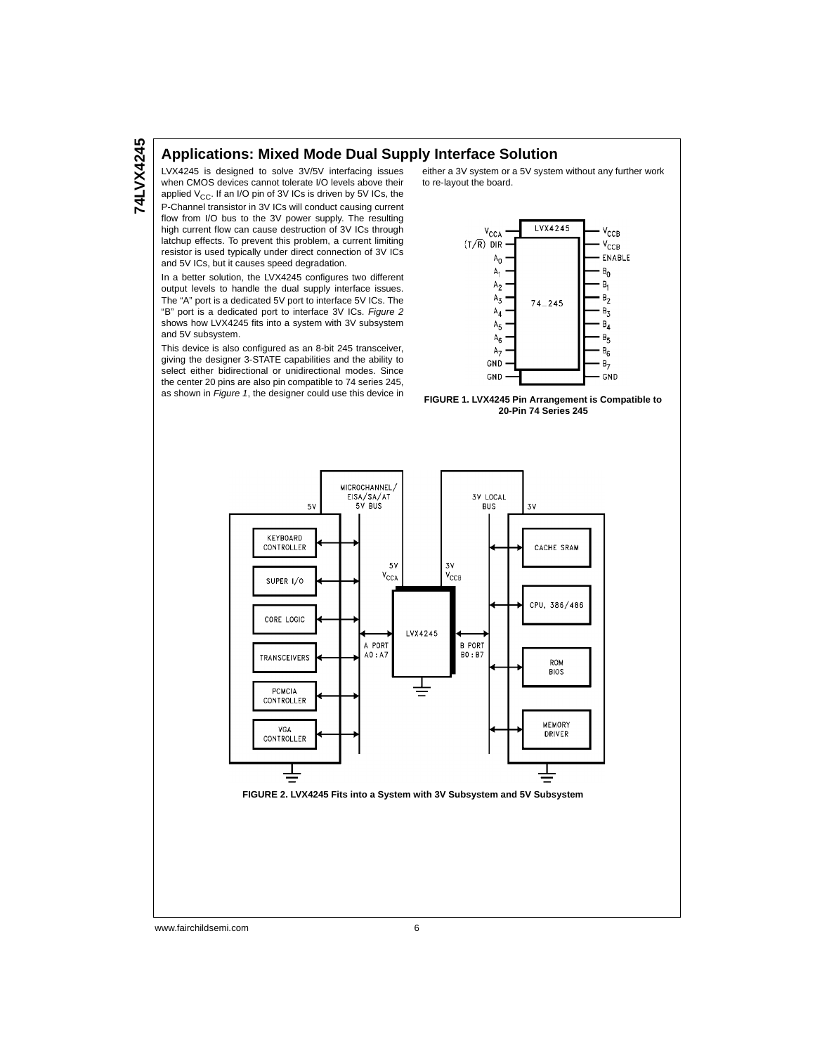#### **Applications: Mixed Mode Dual Supply Interface Solution**

LVX4245 is designed to solve 3V/5V interfacing issues when CMOS devices cannot tolerate I/O levels above their applied  $V_{CC}$ . If an I/O pin of 3V ICs is driven by 5V ICs, the P-Channel transistor in 3V ICs will conduct causing current flow from I/O bus to the 3V power supply. The resulting high current flow can cause destruction of 3V ICs through latchup effects. To prevent this problem, a current limiting resistor is used typically under direct connection of 3V ICs

and 5V ICs, but it causes speed degradation. In a better solution, the LVX4245 configures two different output levels to handle the dual supply interface issues. The "A" port is a dedicated 5V port to interface 5V ICs. The "B" port is a dedicated port to interface 3V ICs. Figure 2 shows how LVX4245 fits into a system with 3V subsystem and 5V subsystem.

This device is also configured as an 8-bit 245 transceiver, giving the designer 3-STATE capabilities and the ability to select either bidirectional or unidirectional modes. Since the center 20 pins are also pin compatible to 74 series 245, as shown in Figure 1, the designer could use this device in either a 3V system or a 5V system without any further work to re-layout the board.







www.fairchildsemi.com 6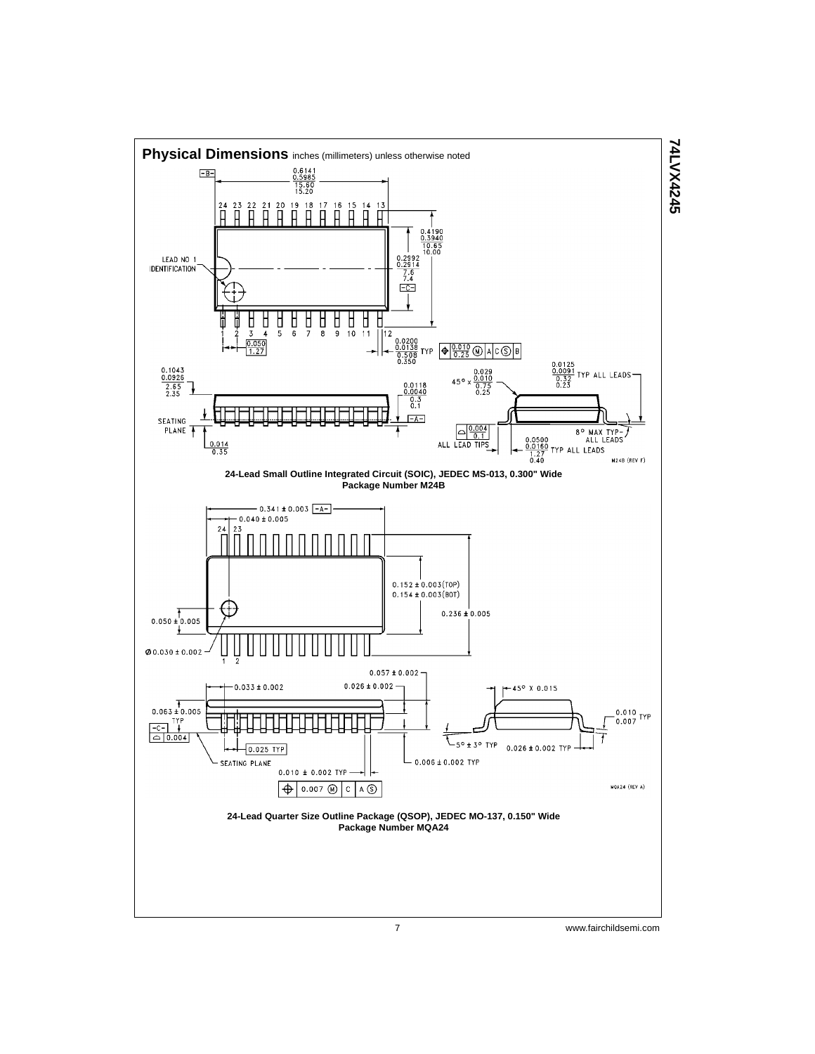

7 www.fairchildsemi.com

**74LVX4245**

**74LVX4245**